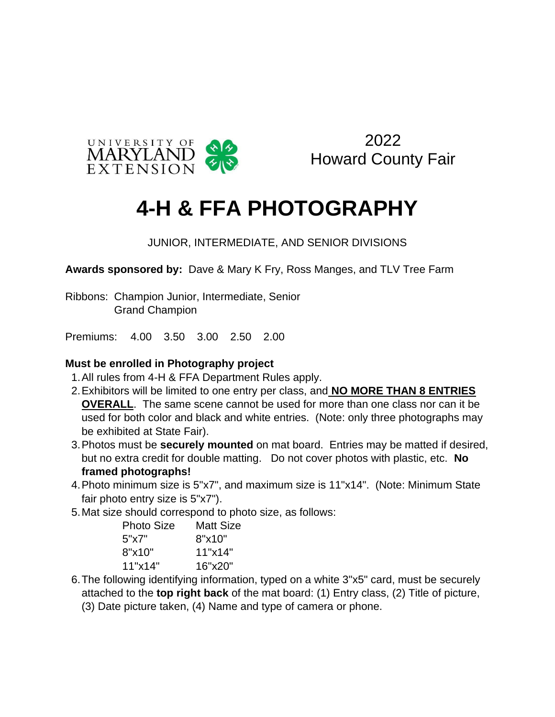

2022 Howard County Fair

## **4-H & FFA PHOTOGRAPHY**

JUNIOR, INTERMEDIATE, AND SENIOR DIVISIONS

**Awards sponsored by:** Dave & Mary K Fry, Ross Manges, and TLV Tree Farm

Ribbons: Champion Junior, Intermediate, Senior Grand Champion

Premiums: 4.00 3.50 3.00 2.50 2.00

## **Must be enrolled in Photography project**

- 1.All rules from 4-H & FFA Department Rules apply.
- 2.Exhibitors will be limited to one entry per class, and **NO MORE THAN 8 ENTRIES OVERALL**. The same scene cannot be used for more than one class nor can it be used for both color and black and white entries. (Note: only three photographs may be exhibited at State Fair).
- 3.Photos must be **securely mounted** on mat board. Entries may be matted if desired, but no extra credit for double matting. Do not cover photos with plastic, etc. **No framed photographs!**
- 4.Photo minimum size is 5"x7", and maximum size is 11"x14". (Note: Minimum State fair photo entry size is 5"x7").
- 5.Mat size should correspond to photo size, as follows:

| Matt Size |
|-----------|
| 8"x10"    |
| 11"x14"   |
| 16"x20"   |
|           |

 6.The following identifying information, typed on a white 3"x5" card, must be securely attached to the **top right back** of the mat board: (1) Entry class, (2) Title of picture,

(3) Date picture taken, (4) Name and type of camera or phone.